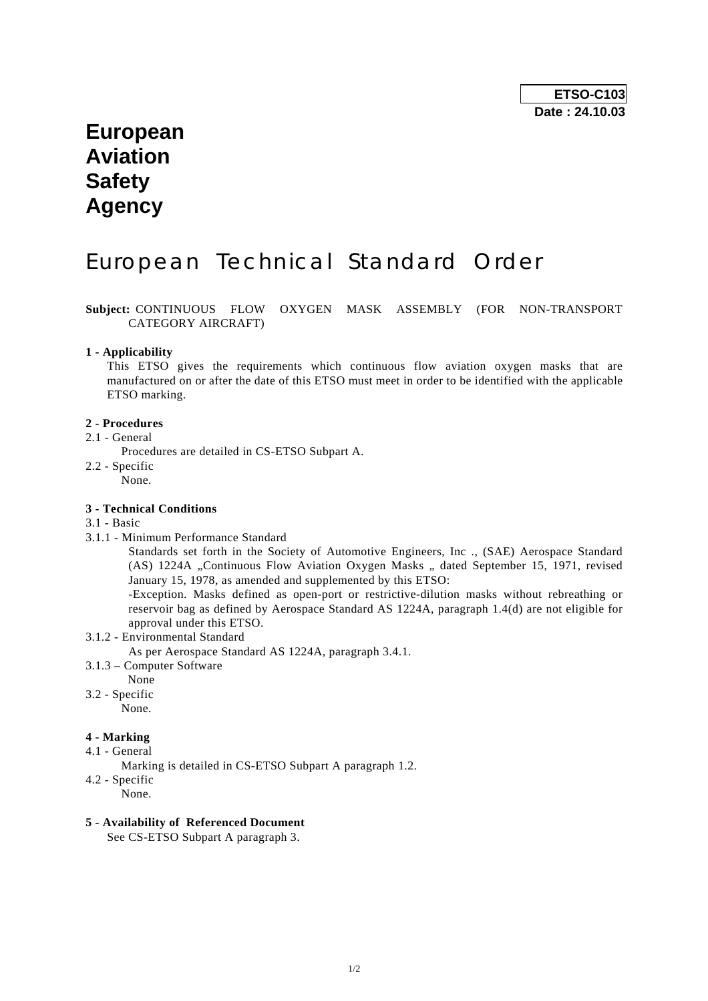# **European Aviation Safety Agency**

# European Technical Standard Order

**Subject:** CONTINUOUS FLOW OXYGEN MASK ASSEMBLY (FOR NON-TRANSPORT CATEGORY AIRCRAFT)

#### **1 - Applicability**

 This ETSO gives the requirements which continuous flow aviation oxygen masks that are manufactured on or after the date of this ETSO must meet in order to be identified with the applicable ETSO marking.

#### **2 - Procedures**

- 2.1 General
	- Procedures are detailed in CS-ETSO Subpart A.
- 2.2 Specific
	- None.

#### **3 - Technical Conditions**

#### 3.1 - Basic

3.1.1 - Minimum Performance Standard

 Standards set forth in the Society of Automotive Engineers, Inc ., (SAE) Aerospace Standard (AS) 1224A "Continuous Flow Aviation Oxygen Masks " dated September 15, 1971, revised January 15, 1978, as amended and supplemented by this ETSO:

 -Exception. Masks defined as open-port or restrictive-dilution masks without rebreathing or reservoir bag as defined by Aerospace Standard AS 1224A, paragraph 1.4(d) are not eligible for approval under this ETSO.

3.1.2 - Environmental Standard

As per Aerospace Standard AS 1224A, paragraph 3.4.1.

- 3.1.3 Computer Software
- None
- 3.2 Specific

None.

### **4 - Marking**

- 4.1 General
	- Marking is detailed in CS-ETSO Subpart A paragraph 1.2.
- 4.2 Specific
	- None.

### **5 - Availability of Referenced Document**

See CS-ETSO Subpart A paragraph 3.